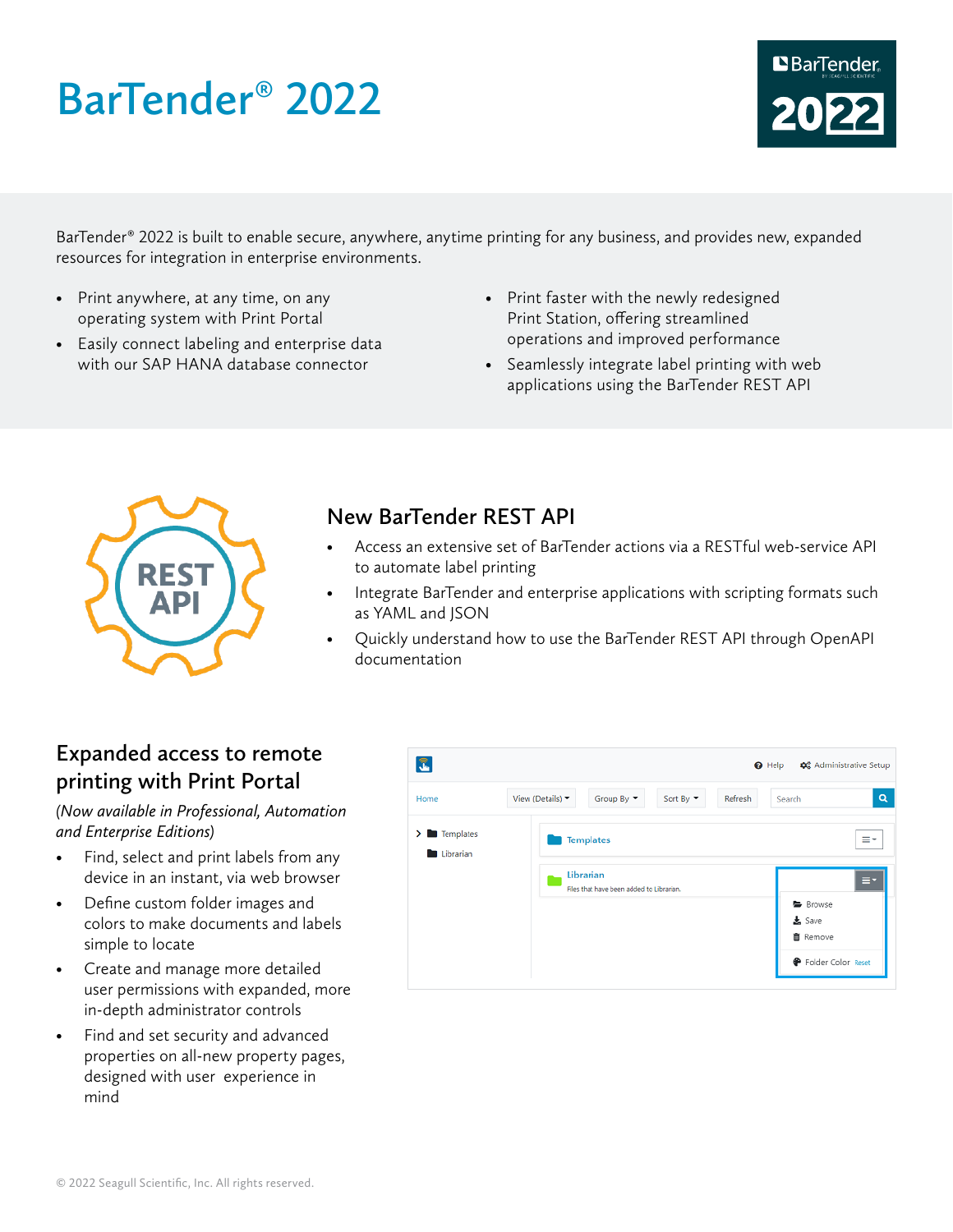# **BarTender**® **2022**



BarTender® 2022 is built to enable secure, anywhere, anytime printing for any business, and provides new, expanded resources for integration in enterprise environments.

- Print anywhere, at any time, on any operating system with Print Portal
- Easily connect labeling and enterprise data with our SAP HANA database connector
- Print faster with the newly redesigned Print Station, offering streamlined operations and improved performance
- Seamlessly integrate label printing with web applications using the BarTender REST API



### **New BarTender REST API**

- Access an extensive set of BarTender actions via a RESTful web-service API to automate label printing
- Integrate BarTender and enterprise applications with scripting formats such as YAML and JSON
- Quickly understand how to use the BarTender REST API through OpenAPI documentation

## **Expanded access to remote printing with Print Portal**

*(Now available in Professional, Automation and Enterprise Editions)*

- Find, select and print labels from any device in an instant, via web browser
- Define custom folder images and colors to make documents and labels simple to locate
- Create and manage more detailed user permissions with expanded, more in-depth administrator controls
- Find and set security and advanced properties on all-new property pages, designed with user experience in mind

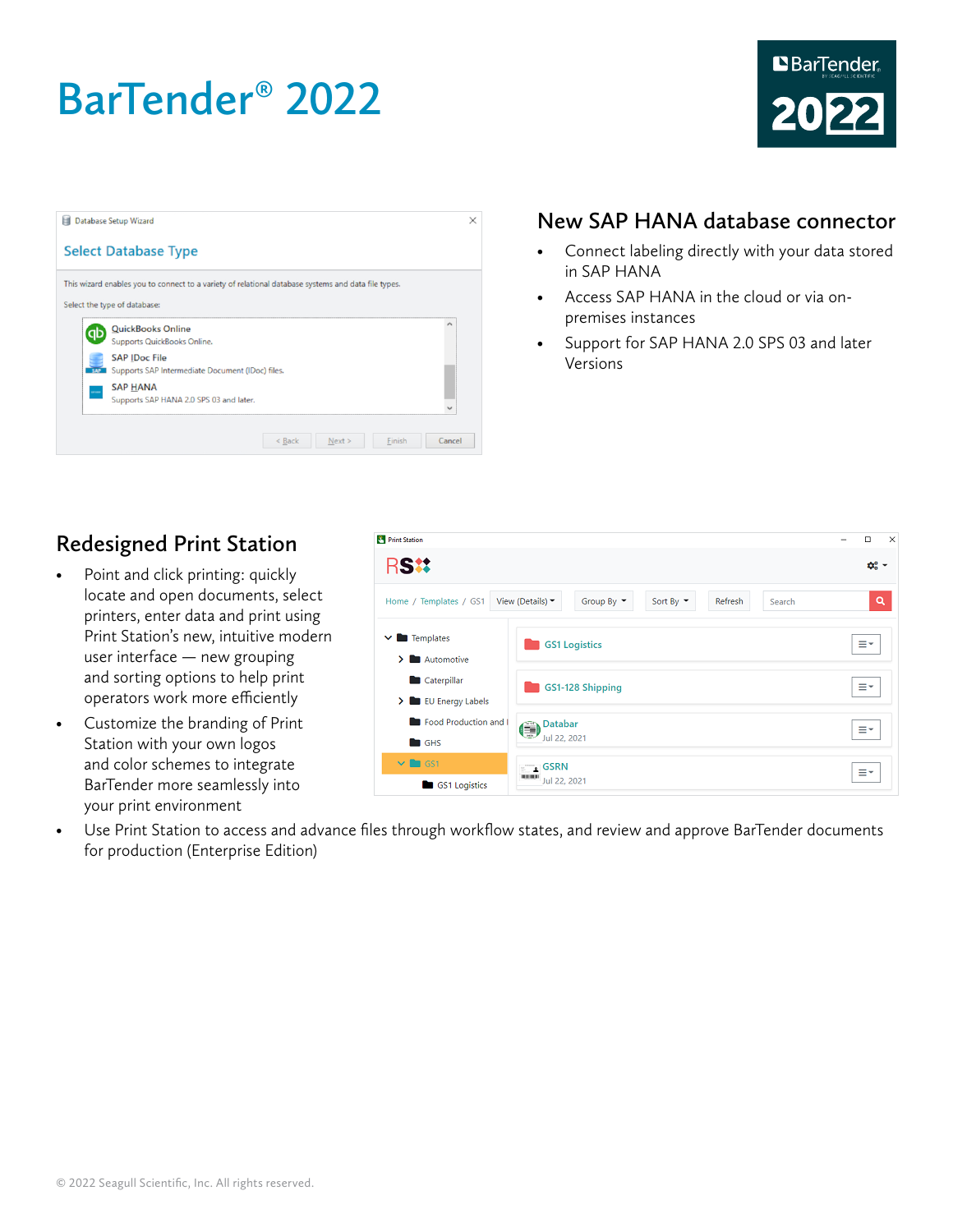# **BarTender**® **2022**



| tщ         | Database Setup Wizard                                                                               | $\times$ |
|------------|-----------------------------------------------------------------------------------------------------|----------|
|            | <b>Select Database Type</b>                                                                         |          |
|            | This wizard enables you to connect to a variety of relational database systems and data file types. |          |
|            | Select the type of database:                                                                        |          |
| ab         | <b>QuickBooks Online</b><br>Supports QuickBooks Online.                                             | ́        |
| <b>SAP</b> | <b>SAP IDoc File</b><br>Supports SAP Intermediate Document (IDoc) files.                            |          |
|            | <b>SAP HANA</b><br>Supports SAP HANA 2.0 SPS 03 and later.                                          |          |
|            |                                                                                                     |          |
|            | Finish<br>$<$ Back<br>Next >                                                                        | Cancel   |

#### **New SAP HANA database connector**

- Connect labeling directly with your data stored in SAP HANA
- Access SAP HANA in the cloud or via onpremises instances
- Support for SAP HANA 2.0 SPS 03 and later Versions

## **Redesigned Print Station**

- Point and click printing: quickly locate and open documents, select printers, enter data and print using Print Station's new, intuitive modern user interface — new grouping and sorting options to help print operators work more efficiently
- Customize the branding of Print Station with your own logos and color schemes to integrate BarTender more seamlessly into your print environment



• Use Print Station to access and advance files through workflow states, and review and approve BarTender documents for production (Enterprise Edition)